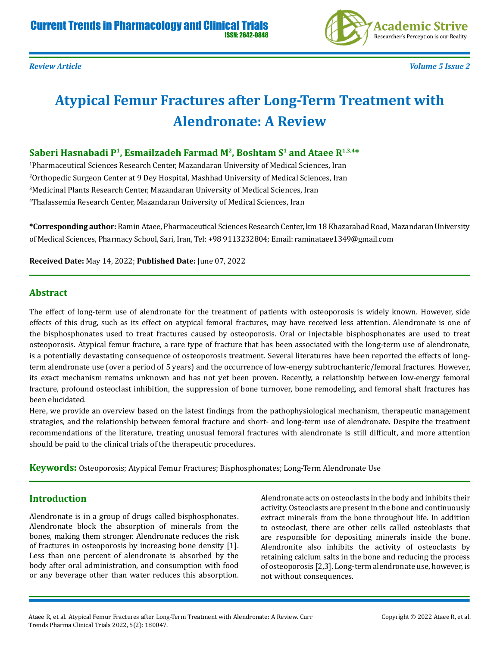

# **Atypical Femur Fractures after Long-Term Treatment with Alendronate: A Review**

#### **Saberi Hasnabadi P1, Esmailzadeh Farmad M2, Boshtam S1 and Ataee R1,3,4\***

 Pharmaceutical Sciences Research Center, Mazandaran University of Medical Sciences, Iran Orthopedic Surgeon Center at 9 Dey Hospital, Mashhad University of Medical Sciences, Iran Medicinal Plants Research Center, Mazandaran University of Medical Sciences, Iran Thalassemia Research Center, Mazandaran University of Medical Sciences, Iran

**\*Corresponding author:** Ramin Ataee, Pharmaceutical Sciences Research Center, km 18 Khazarabad Road, Mazandaran University of Medical Sciences, Pharmacy School, Sari, Iran, Tel: +98 9113232804; Email: raminataee1349@gmail.com

**Received Date:** May 14, 2022; **Published Date:** June 07, 2022

#### **Abstract**

The effect of long-term use of alendronate for the treatment of patients with osteoporosis is widely known. However, side effects of this drug, such as its effect on atypical femoral fractures, may have received less attention. Alendronate is one of the bisphosphonates used to treat fractures caused by osteoporosis. Oral or injectable bisphosphonates are used to treat osteoporosis. Atypical femur fracture, a rare type of fracture that has been associated with the long-term use of alendronate, is a potentially devastating consequence of osteoporosis treatment. Several literatures have been reported the effects of longterm alendronate use (over a period of 5 years) and the occurrence of low-energy subtrochanteric/femoral fractures. However, its exact mechanism remains unknown and has not yet been proven. Recently, a relationship between low-energy femoral fracture, profound osteoclast inhibition, the suppression of bone turnover, bone remodeling, and femoral shaft fractures has been elucidated.

Here, we provide an overview based on the latest findings from the pathophysiological mechanism, therapeutic management strategies, and the relationship between femoral fracture and short- and long-term use of alendronate. Despite the treatment recommendations of the literature, treating unusual femoral fractures with alendronate is still difficult, and more attention should be paid to the clinical trials of the therapeutic procedures.

**Keywords:** Osteoporosis; Atypical Femur Fractures; Bisphosphonates; Long-Term Alendronate Use

#### **Introduction**

Alendronate is in a group of drugs called bisphosphonates. Alendronate block the absorption of minerals from the bones, making them stronger. Alendronate reduces the risk of fractures in osteoporosis by increasing bone density [1]. Less than one percent of alendronate is absorbed by the body after oral administration, and consumption with food or any beverage other than water reduces this absorption. Alendronate acts on osteoclasts in the body and inhibits their activity. Osteoclasts are present in the bone and continuously extract minerals from the bone throughout life. In addition to osteoclast, there are other cells called osteoblasts that are responsible for depositing minerals inside the bone. Alendronite also inhibits the activity of osteoclasts by retaining calcium salts in the bone and reducing the process of osteoporosis [2,3]. Long-term alendronate use, however, is not without consequences.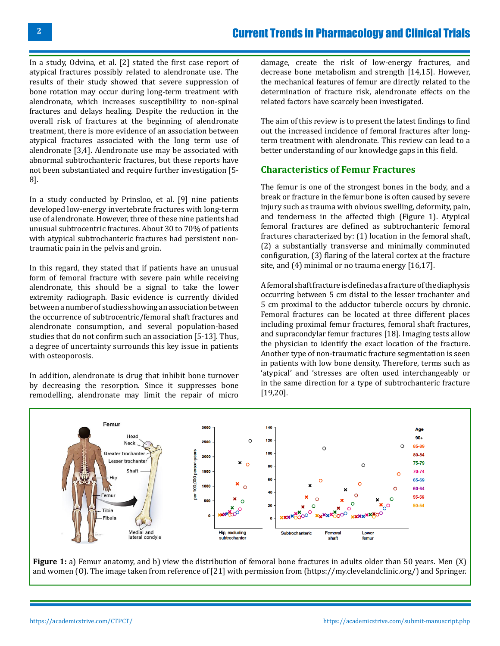In a study, Odvina, et al. [2] stated the first case report of atypical fractures possibly related to alendronate use. The results of their study showed that severe suppression of bone rotation may occur during long-term treatment with alendronate, which increases susceptibility to non-spinal fractures and delays healing. Despite the reduction in the overall risk of fractures at the beginning of alendronate treatment, there is more evidence of an association between atypical fractures associated with the long term use of alendronate [3,4]. Alendronate use may be associated with abnormal subtrochanteric fractures, but these reports have not been substantiated and require further investigation [5- 8].

In a study conducted by Prinsloo, et al. [9] nine patients developed low-energy invertebrate fractures with long-term use of alendronate. However, three of these nine patients had unusual subtrocentric fractures. About 30 to 70% of patients with atypical subtrochanteric fractures had persistent nontraumatic pain in the pelvis and groin.

In this regard, they stated that if patients have an unusual form of femoral fracture with severe pain while receiving alendronate, this should be a signal to take the lower extremity radiograph. Basic evidence is currently divided between a number of studies showing an association between the occurrence of subtrocentric/femoral shaft fractures and alendronate consumption, and several population-based studies that do not confirm such an association [5-13]. Thus, a degree of uncertainty surrounds this key issue in patients with osteoporosis.

In addition, alendronate is drug that inhibit bone turnover by decreasing the resorption. Since it suppresses bone remodelling, alendronate may limit the repair of micro

damage, create the risk of low-energy fractures, and decrease bone metabolism and strength [14,15]. However, the mechanical features of femur are directly related to the determination of fracture risk, alendronate effects on the related factors have scarcely been investigated.

The aim of this review is to present the latest findings to find out the increased incidence of femoral fractures after longterm treatment with alendronate. This review can lead to a better understanding of our knowledge gaps in this field.

#### **Characteristics of Femur Fractures**

The femur is one of the strongest bones in the body, and a break or fracture in the femur bone is often caused by severe injury such as trauma with obvious swelling, deformity, pain, and tenderness in the affected thigh (Figure 1). Atypical femoral fractures are defined as subtrochanteric femoral fractures characterized by: (1) location in the femoral shaft, (2) a substantially transverse and minimally comminuted configuration, (3) flaring of the lateral cortex at the fracture site, and (4) minimal or no trauma energy [16,17].

A femoral shaft fracture is defined as a fracture of the diaphysis occurring between 5 cm distal to the lesser trochanter and 5 cm proximal to the adductor tubercle occurs by chronic. Femoral fractures can be located at three different places including proximal femur fractures, femoral shaft fractures, and supracondylar femur fractures [18]. Imaging tests allow the physician to identify the exact location of the fracture. Another type of non-traumatic fracture segmentation is seen in patients with low bone density. Therefore, terms such as 'atypical' and 'stresses are often used interchangeably or in the same direction for a type of subtrochanteric fracture [19,20].



**Figure 1:** a) Femur anatomy, and b) view the distribution of femoral bone fractures in adults older than 50 years. Men (X) and women (O). The image taken from reference of [21] with permission from [\(https://my.clevelandclinic.org/\)](https://my.clevelandclinic.org/) and Springer.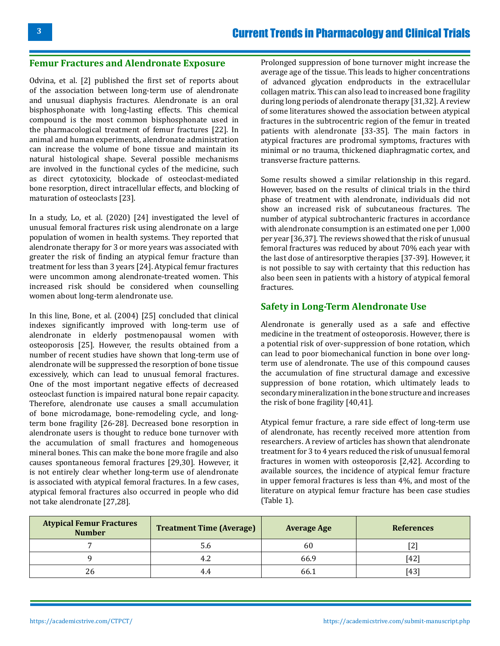#### **Femur Fractures and Alendronate Exposure**

Odvina, et al. [2] published the first set of reports about of the association between long-term use of alendronate and unusual diaphysis fractures. Alendronate is an oral bisphosphonate with long-lasting effects. This chemical compound is the most common bisphosphonate used in the pharmacological treatment of femur fractures [22]. In animal and human experiments, alendronate administration can increase the volume of bone tissue and maintain its natural histological shape. Several possible mechanisms are involved in the functional cycles of the medicine, such as direct cytotoxicity, blockade of osteoclast-mediated bone resorption, direct intracellular effects, and blocking of maturation of osteoclasts [23].

In a study, Lo, et al. (2020) [24] investigated the level of unusual femoral fractures risk using alendronate on a large population of women in health systems. They reported that alendronate therapy for 3 or more years was associated with greater the risk of finding an atypical femur fracture than treatment for less than 3 years [24]. Atypical femur fractures were uncommon among alendronate-treated women. This increased risk should be considered when counselling women about long-term alendronate use.

In this line, Bone, et al. (2004) [25] concluded that clinical indexes significantly improved with long-term use of alendronate in elderly postmenopausal women with osteoporosis [25]. However, the results obtained from a number of recent studies have shown that long-term use of alendronate will be suppressed the resorption of bone tissue excessively, which can lead to unusual femoral fractures. One of the most important negative effects of decreased osteoclast function is impaired natural bone repair capacity. Therefore, alendronate use causes a small accumulation of bone microdamage, bone-remodeling cycle, and longterm bone fragility [26-28]. Decreased bone resorption in alendronate users is thought to reduce bone turnover with the accumulation of small fractures and homogeneous mineral bones. This can make the bone more fragile and also causes spontaneous femoral fractures [29,30]. However, it is not entirely clear whether long-term use of alendronate is associated with atypical femoral fractures. In a few cases, atypical femoral fractures also occurred in people who did not take alendronate [27,28].

Prolonged suppression of bone turnover might increase the average age of the tissue. This leads to higher concentrations of advanced glycation endproducts in the extracellular collagen matrix. This can also lead to increased bone fragility during long periods of alendronate therapy [31,32]. A review of some literatures showed the association between atypical fractures in the subtrocentric region of the femur in treated patients with alendronate [33-35]. The main factors in atypical fractures are prodromal symptoms, fractures with minimal or no trauma, thickened diaphragmatic cortex, and transverse fracture patterns.

Some results showed a similar relationship in this regard. However, based on the results of clinical trials in the third phase of treatment with alendronate, individuals did not show an increased risk of subcutaneous fractures. The number of atypical subtrochanteric fractures in accordance with alendronate consumption is an estimated one per 1,000 per year [36,37]. The reviews showed that the risk of unusual femoral fractures was reduced by about 70% each year with the last dose of antiresorptive therapies [37-39]. However, it is not possible to say with certainty that this reduction has also been seen in patients with a history of atypical femoral fractures.

#### **Safety in Long-Term Alendronate Use**

Alendronate is generally used as a safe and effective medicine in the treatment of osteoporosis. However, there is a potential risk of over-suppression of bone rotation, which can lead to poor biomechanical function in bone over longterm use of alendronate. The use of this compound causes the accumulation of fine structural damage and excessive suppression of bone rotation, which ultimately leads to secondary mineralization in the bone structure and increases the risk of bone fragility [40,41].

Atypical femur fracture, a rare side effect of long-term use of alendronate, has recently received more attention from researchers. A review of articles has shown that alendronate treatment for 3 to 4 years reduced the risk of unusual femoral fractures in women with osteoporosis [2,42]. According to available sources, the incidence of atypical femur fracture in upper femoral fractures is less than 4%, and most of the literature on atypical femur fracture has been case studies (Table 1).

| <b>Atypical Femur Fractures</b><br><b>Number</b> | <b>Treatment Time (Average)</b><br><b>Average Age</b> |      | <b>References</b> |  |
|--------------------------------------------------|-------------------------------------------------------|------|-------------------|--|
|                                                  |                                                       | 60   | ∼                 |  |
|                                                  | 4.2                                                   | 66.9 | [42]              |  |
| 26                                               | 4.4                                                   | bb.  | [43]              |  |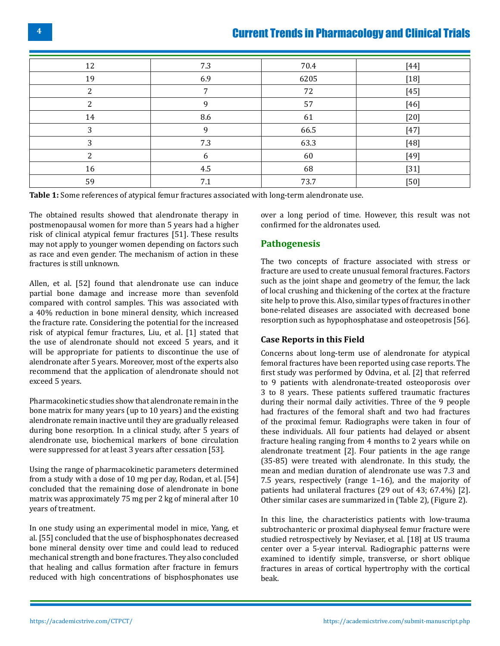| 12 | 7.3 | 70.4 | [44]   |
|----|-----|------|--------|
| 19 | 6.9 | 6205 | $[18]$ |
| 2  | 7   | 72   | $[45]$ |
| 2  | 9   | 57   | $[46]$ |
| 14 | 8.6 | 61   | $[20]$ |
| 3  | 9   | 66.5 | $[47]$ |
| 3  | 7.3 | 63.3 | $[48]$ |
| ∍  | 6   | 60   | $[49]$ |
| 16 | 4.5 | 68   | $[31]$ |
| 59 | 7.1 | 73.7 | $[50]$ |

**Table 1:** Some references of atypical femur fractures associated with long-term alendronate use.

The obtained results showed that alendronate therapy in postmenopausal women for more than 5 years had a higher risk of clinical atypical femur fractures [51]. These results may not apply to younger women depending on factors such as race and even gender. The mechanism of action in these fractures is still unknown.

Allen, et al. [52] found that alendronate use can induce partial bone damage and increase more than sevenfold compared with control samples. This was associated with a 40% reduction in bone mineral density, which increased the fracture rate. Considering the potential for the increased risk of atypical femur fractures, Liu, et al. [1] stated that the use of alendronate should not exceed 5 years, and it will be appropriate for patients to discontinue the use of alendronate after 5 years. Moreover, most of the experts also recommend that the application of alendronate should not exceed 5 years.

Pharmacokinetic studies show that alendronate remain in the bone matrix for many years (up to 10 years) and the existing alendronate remain inactive until they are gradually released during bone resorption. In a clinical study, after 5 years of alendronate use, biochemical markers of bone circulation were suppressed for at least 3 years after cessation [53].

Using the range of pharmacokinetic parameters determined from a study with a dose of 10 mg per day, Rodan, et al. [54] concluded that the remaining dose of alendronate in bone matrix was approximately 75 mg per 2 kg of mineral after 10 years of treatment.

In one study using an experimental model in mice, Yang, et al. [55] concluded that the use of bisphosphonates decreased bone mineral density over time and could lead to reduced mechanical strength and bone fractures. They also concluded that healing and callus formation after fracture in femurs reduced with high concentrations of bisphosphonates use

over a long period of time. However, this result was not confirmed for the aldronates used.

#### **Pathogenesis**

The two concepts of fracture associated with stress or fracture are used to create unusual femoral fractures. Factors such as the joint shape and geometry of the femur, the lack of local crushing and thickening of the cortex at the fracture site help to prove this. Also, similar types of fractures in other bone-related diseases are associated with decreased bone resorption such as hypophosphatase and osteopetrosis [56].

#### **Case Reports in this Field**

Concerns about long-term use of alendronate for atypical femoral fractures have been reported using case reports. The first study was performed by Odvina, et al. [2] that referred to 9 patients with alendronate-treated osteoporosis over 3 to 8 years. These patients suffered traumatic fractures during their normal daily activities. Three of the 9 people had fractures of the femoral shaft and two had fractures of the proximal femur. Radiographs were taken in four of these individuals. All four patients had delayed or absent fracture healing ranging from 4 months to 2 years while on alendronate treatment [2]. Four patients in the age range (35-85) were treated with alendronate. In this study, the mean and median duration of alendronate use was 7.3 and 7.5 years, respectively (range 1–16), and the majority of patients had unilateral fractures (29 out of 43; 67.4%) [2]. Other similar cases are summarized in (Table 2), (Figure 2).

In this line, the characteristics patients with low-trauma subtrochanteric or proximal diaphyseal femur fracture were studied retrospectively by Neviaser, et al. [18] at US trauma center over a 5-year interval. Radiographic patterns were examined to identify simple, transverse, or short oblique fractures in areas of cortical hypertrophy with the cortical beak.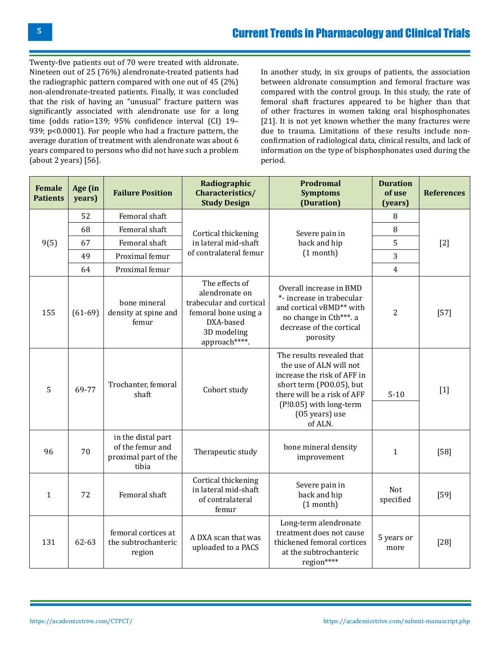Twenty-five patients out of 70 were treated with aldronate. Nineteen out of 25 (76%) alendronate-treated patients had the radiographic pattern compared with one out of 45 (2%) non-alendronate-treated patients. Finally, it was concluded that the risk of having an "unusual" fracture pattern was significantly associated with alendronate use for a long time (odds ratio=139; 95% confidence interval (CI) 19– 939; p<0.0001). For people who had a fracture pattern, the average duration of treatment with alendronate was about 6 years compared to persons who did not have such a problem (about 2 years) [56].

In another study, in six groups of patients, the association between aldronate consumption and femoral fracture was compared with the control group. In this study, the rate of femoral shaft fractures appeared to be higher than that of other fractures in women taking oral bisphosphonates [21]. It is not yet known whether the many fractures were due to trauma. Limitations of these results include nonconfirmation of radiological data, clinical results, and lack of information on the type of bisphosphonates used during the period.

| <b>Female</b><br><b>Patients</b> | Age (in<br>years) | <b>Failure Position</b>                                                 | Radiographic<br>Characteristics/<br><b>Study Design</b>                                                                          | <b>Prodromal</b><br><b>Symptoms</b><br>(Duration)                                                                                                                                                      | <b>Duration</b><br>of use<br>(years) | <b>References</b> |
|----------------------------------|-------------------|-------------------------------------------------------------------------|----------------------------------------------------------------------------------------------------------------------------------|--------------------------------------------------------------------------------------------------------------------------------------------------------------------------------------------------------|--------------------------------------|-------------------|
| 9(5)                             | 52                | Femoral shaft                                                           | Cortical thickening<br>in lateral mid-shaft<br>of contralateral femur                                                            | Severe pain in<br>back and hip<br>$(1$ month)                                                                                                                                                          | 8                                    | $[2]$             |
|                                  | 68                | Femoral shaft                                                           |                                                                                                                                  |                                                                                                                                                                                                        | 8                                    |                   |
|                                  | 67                | Femoral shaft                                                           |                                                                                                                                  |                                                                                                                                                                                                        | 5                                    |                   |
|                                  | 49                | Proximal femur                                                          |                                                                                                                                  |                                                                                                                                                                                                        | 3                                    |                   |
|                                  | 64                | Proximal femur                                                          |                                                                                                                                  |                                                                                                                                                                                                        | $\overline{4}$                       |                   |
| 155                              | $(61-69)$         | bone mineral<br>density at spine and<br>femur                           | The effects of<br>alendronate on<br>trabecular and cortical<br>femoral bone using a<br>DXA-based<br>3D modeling<br>approach****. | Overall increase in BMD<br>*- increase in trabecular<br>and cortical vBMD** with<br>no change in Cth***. a<br>decrease of the cortical<br>porosity                                                     | 2                                    | $[57]$            |
| 5                                | 69-77             | Trochanter, femoral<br>shaft                                            | Cohort study                                                                                                                     | The results revealed that<br>the use of ALN will not<br>increase the risk of AFF in<br>short term (PO0.05), but<br>there will be a risk of AFF<br>(P!0.05) with long-term<br>(05 years) use<br>of ALN. | $5 - 10$                             | $[1]$             |
| 96                               | 70                | in the distal part<br>of the femur and<br>proximal part of the<br>tibia | Therapeutic study                                                                                                                | bone mineral density<br>improvement                                                                                                                                                                    | $\mathbf{1}$                         | $[58]$            |
| $\mathbf{1}$                     | 72                | Femoral shaft                                                           | Cortical thickening<br>in lateral mid-shaft<br>of contralateral<br>femur                                                         | Severe pain in<br>back and hip<br>$(1$ month)                                                                                                                                                          | Not<br>specified                     | $[59]$            |
| 131                              | 62-63             | femoral cortices at<br>the subtrochanteric<br>region                    | A DXA scan that was<br>uploaded to a PACS                                                                                        | Long-term alendronate<br>treatment does not cause<br>thickened femoral cortices<br>at the subtrochanteric<br>region****                                                                                | 5 years or<br>more                   | $[28]$            |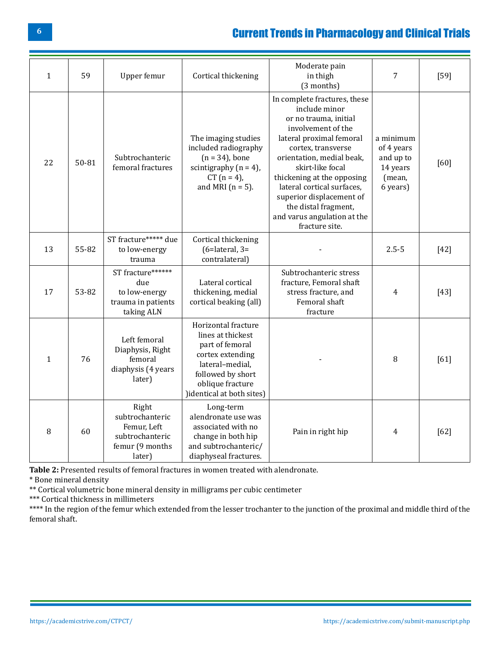| $\mathbf{1}$ | 59    | Upper femur                                                                             | Cortical thickening                                                                                                                                                      | Moderate pain<br>in thigh<br>(3 months)                                                                                                                                                                                                                                                                                                                          | 7                                                                      | $[59]$ |
|--------------|-------|-----------------------------------------------------------------------------------------|--------------------------------------------------------------------------------------------------------------------------------------------------------------------------|------------------------------------------------------------------------------------------------------------------------------------------------------------------------------------------------------------------------------------------------------------------------------------------------------------------------------------------------------------------|------------------------------------------------------------------------|--------|
| 22           | 50-81 | Subtrochanteric<br>femoral fractures                                                    | The imaging studies<br>included radiography<br>$(n = 34)$ , bone<br>scintigraphy $(n = 4)$ ,<br>$CT (n = 4)$ ,<br>and MRI $(n = 5)$ .                                    | In complete fractures, these<br>include minor<br>or no trauma, initial<br>involvement of the<br>lateral proximal femoral<br>cortex, transverse<br>orientation, medial beak,<br>skirt-like focal<br>thickening at the opposing<br>lateral cortical surfaces,<br>superior displacement of<br>the distal fragment,<br>and varus angulation at the<br>fracture site. | a minimum<br>of 4 years<br>and up to<br>14 years<br>(mean,<br>6 years) | [60]   |
| 13           | 55-82 | ST fracture***** due<br>to low-energy<br>trauma                                         | Cortical thickening<br>$(6=$ lateral, $3=$<br>contralateral)                                                                                                             |                                                                                                                                                                                                                                                                                                                                                                  | $2.5 - 5$                                                              | $[42]$ |
| 17           | 53-82 | ST fracture******<br>due<br>to low-energy<br>trauma in patients<br>taking ALN           | Lateral cortical<br>thickening, medial<br>cortical beaking (all)                                                                                                         | Subtrochanteric stress<br>fracture, Femoral shaft<br>stress fracture, and<br>Femoral shaft<br>fracture                                                                                                                                                                                                                                                           | 4                                                                      | $[43]$ |
| $\mathbf{1}$ | 76    | Left femoral<br>Diaphysis, Right<br>femoral<br>diaphysis (4 years<br>later)             | Horizontal fracture<br>lines at thickest<br>part of femoral<br>cortex extending<br>lateral-medial,<br>followed by short<br>oblique fracture<br>)identical at both sites) |                                                                                                                                                                                                                                                                                                                                                                  | 8                                                                      | [61]   |
| 8            | 60    | Right<br>subtrochanteric<br>Femur, Left<br>subtrochanteric<br>femur (9 months<br>later) | Long-term<br>alendronate use was<br>associated with no<br>change in both hip<br>and subtrochanteric/<br>diaphyseal fractures.                                            | Pain in right hip                                                                                                                                                                                                                                                                                                                                                | 4                                                                      | [62]   |

**Table 2:** Presented results of femoral fractures in women treated with alendronate.

\* Bone mineral density

\*\* Cortical volumetric bone mineral density in milligrams per cubic centimeter

\*\*\* Cortical thickness in millimeters

\*\*\*\* In the region of the femur which extended from the lesser trochanter to the junction of the proximal and middle third of the femoral shaft.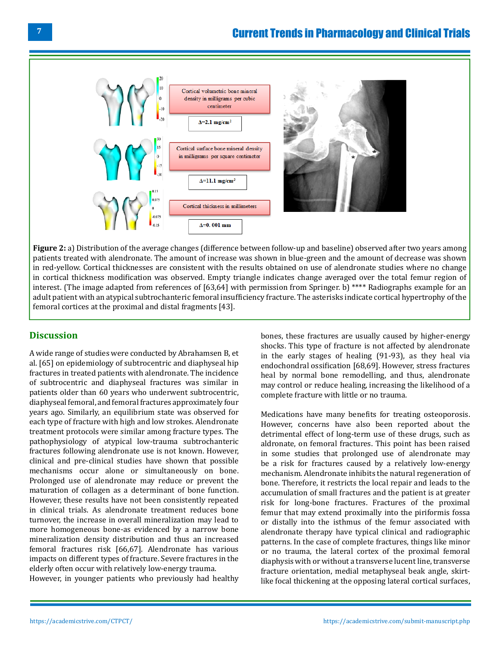

**Figure 2:** a) Distribution of the average changes (difference between follow-up and baseline) observed after two years among patients treated with alendronate. The amount of increase was shown in blue-green and the amount of decrease was shown in red-yellow. Cortical thicknesses are consistent with the results obtained on use of alendronate studies where no change in cortical thickness modification was observed. Empty triangle indicates change averaged over the total femur region of interest. (The image adapted from references of [63,64] with permission from Springer. b) \*\*\*\* Radiographs example for an adult patient with an atypical subtrochanteric femoral insufficiency fracture. The asterisks indicate cortical hypertrophy of the femoral cortices at the proximal and distal fragments [43].

#### **Discussion**

A wide range of studies were conducted by Abrahamsen B, et al. [65] on epidemiology of subtrocentric and diaphyseal hip fractures in treated patients with alendronate. The incidence of subtrocentric and diaphyseal fractures was similar in patients older than 60 years who underwent subtrocentric, diaphyseal femoral, and femoral fractures approximately four years ago. Similarly, an equilibrium state was observed for each type of fracture with high and low strokes. Alendronate treatment protocols were similar among fracture types. The pathophysiology of atypical low-trauma subtrochanteric fractures following alendronate use is not known. However, clinical and pre-clinical studies have shown that possible mechanisms occur alone or simultaneously on bone. Prolonged use of alendronate may reduce or prevent the maturation of collagen as a determinant of bone function. However, these results have not been consistently repeated in clinical trials. As alendronate treatment reduces bone turnover, the increase in overall mineralization may lead to more homogeneous bone-as evidenced by a narrow bone mineralization density distribution and thus an increased femoral fractures risk [66,67]. Alendronate has various impacts on different types of fracture. Severe fractures in the elderly often occur with relatively low-energy trauma.

However, in younger patients who previously had healthy

bones, these fractures are usually caused by higher-energy shocks. This type of fracture is not affected by alendronate in the early stages of healing (91-93), as they heal via endochondral ossification [68,69]. However, stress fractures heal by normal bone remodelling, and thus, alendronate may control or reduce healing, increasing the likelihood of a complete fracture with little or no trauma.

Medications have many benefits for treating osteoporosis. However, concerns have also been reported about the detrimental effect of long-term use of these drugs, such as aldronate, on femoral fractures. This point has been raised in some studies that prolonged use of alendronate may be a risk for fractures caused by a relatively low-energy mechanism. Alendronate inhibits the natural regeneration of bone. Therefore, it restricts the local repair and leads to the accumulation of small fractures and the patient is at greater risk for long-bone fractures. Fractures of the proximal femur that may extend proximally into the piriformis fossa or distally into the isthmus of the femur associated with alendronate therapy have typical clinical and radiographic patterns. In the case of complete fractures, things like minor or no trauma, the lateral cortex of the proximal femoral diaphysis with or without a transverse lucent line, transverse fracture orientation, medial metaphyseal beak angle, skirtlike focal thickening at the opposing lateral cortical surfaces,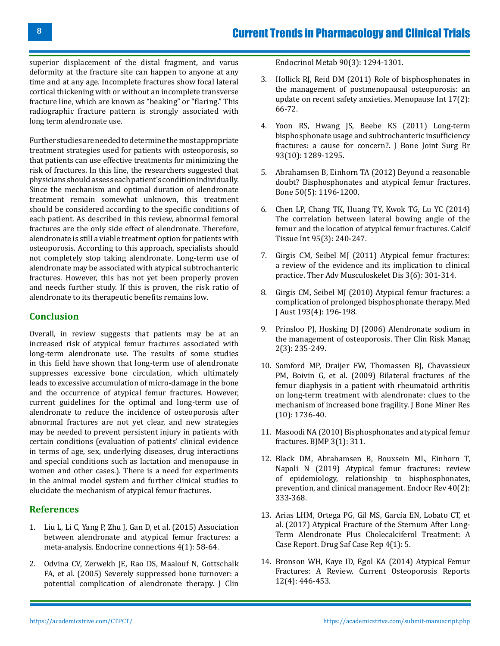superior displacement of the distal fragment, and varus deformity at the fracture site can happen to anyone at any time and at any age. Incomplete fractures show focal lateral cortical thickening with or without an incomplete transverse fracture line, which are known as "beaking" or "flaring." This radiographic fracture pattern is strongly associated with long term alendronate use.

Further studies are needed to determine the most appropriate treatment strategies used for patients with osteoporosis, so that patients can use effective treatments for minimizing the risk of fractures. In this line, the researchers suggested that physicians should assess each patient's condition individually. Since the mechanism and optimal duration of alendronate treatment remain somewhat unknown, this treatment should be considered according to the specific conditions of each patient. As described in this review, abnormal femoral fractures are the only side effect of alendronate. Therefore, alendronate is still a viable treatment option for patients with osteoporosis. According to this approach, specialists should not completely stop taking alendronate. Long-term use of alendronate may be associated with atypical subtrochanteric fractures. However, this has not yet been properly proven and needs further study. If this is proven, the risk ratio of alendronate to its therapeutic benefits remains low.

#### **Conclusion**

Overall, in review suggests that patients may be at an increased risk of atypical femur fractures associated with long-term alendronate use. The results of some studies in this field have shown that long-term use of alendronate suppresses excessive bone circulation, which ultimately leads to excessive accumulation of micro-damage in the bone and the occurrence of atypical femur fractures. However, current guidelines for the optimal and long-term use of alendronate to reduce the incidence of osteoporosis after abnormal fractures are not yet clear, and new strategies may be needed to prevent persistent injury in patients with certain conditions (evaluation of patients' clinical evidence in terms of age, sex, underlying diseases, drug interactions and special conditions such as lactation and menopause in women and other cases.). There is a need for experiments in the animal model system and further clinical studies to elucidate the mechanism of atypical femur fractures.

#### **References**

- 1. [Liu L, Li C, Yang P, Zhu J, Gan D, et al. \(2015\) Association](https://ec.bioscientifica.com/view/journals/ec/4/1/58.xml) [between alendronate and atypical femur fractures: a](https://ec.bioscientifica.com/view/journals/ec/4/1/58.xml) [meta-analysis. Endocrine connections 4\(1\): 58-64.](https://ec.bioscientifica.com/view/journals/ec/4/1/58.xml)
- 2. [Odvina CV, Zerwekh JE, Rao DS, Maalouf N, Gottschalk](https://pubmed.ncbi.nlm.nih.gov/15598694/) [FA, et al. \(2005\) Severely suppressed bone turnover: a](https://pubmed.ncbi.nlm.nih.gov/15598694/) [potential complication of alendronate therapy. J Clin](https://pubmed.ncbi.nlm.nih.gov/15598694/)

[Endocrinol Metab 90\(3\): 1294-1301.](https://pubmed.ncbi.nlm.nih.gov/15598694/)

- 3. [Hollick RJ, Reid DM \(2011\) Role of bisphosphonates in](https://pubmed.ncbi.nlm.nih.gov/21693503/)  [the management of postmenopausal osteoporosis: an](https://pubmed.ncbi.nlm.nih.gov/21693503/)  [update on recent safety anxieties. Menopause Int 17\(2\):](https://pubmed.ncbi.nlm.nih.gov/21693503/) [66-72.](https://pubmed.ncbi.nlm.nih.gov/21693503/)
- 4. [Yoon RS, Hwang JS, Beebe KS \(2011\) Long-term](https://pubmed.ncbi.nlm.nih.gov/21969423/)  [bisphosphonate usage and subtrochanteric insufficiency](https://pubmed.ncbi.nlm.nih.gov/21969423/) fractures: a cause for concern?. J Bone Joint Surg Br [93\(10\): 1289-1295.](https://pubmed.ncbi.nlm.nih.gov/21969423/)
- 5. [Abrahamsen B, Einhorn TA \(2012\) Beyond a reasonable](https://pubmed.ncbi.nlm.nih.gov/22366401/)  [doubt? Bisphosphonates and atypical femur fractures.](https://pubmed.ncbi.nlm.nih.gov/22366401/) [Bone 50\(5\): 1196-1200.](https://pubmed.ncbi.nlm.nih.gov/22366401/)
- 6. [Chen LP, Chang TK, Huang TY, Kwok TG, Lu YC \(2014\)](https://pubmed.ncbi.nlm.nih.gov/24980895/)  [The correlation between lateral bowing angle of the](https://pubmed.ncbi.nlm.nih.gov/24980895/) [femur and the location of atypical femur fractures. Calcif](https://pubmed.ncbi.nlm.nih.gov/24980895/)  [Tissue Int 95\(3\): 240-247.](https://pubmed.ncbi.nlm.nih.gov/24980895/)
- 7. [Girgis CM, Seibel MJ \(2011\) Atypical femur fractures:](https://pubmed.ncbi.nlm.nih.gov/22870488/) [a review of the evidence and its implication to clinical](https://pubmed.ncbi.nlm.nih.gov/22870488/)  [practice. Ther Adv Musculoskelet Dis 3\(6\): 301-314.](https://pubmed.ncbi.nlm.nih.gov/22870488/)
- 8. [Girgis CM, Seibel MJ \(2010\) Atypical femur fractures: a](https://pubmed.ncbi.nlm.nih.gov/20712536/)  [complication of prolonged bisphosphonate therapy. Med](https://pubmed.ncbi.nlm.nih.gov/20712536/)  [J Aust 193\(4\): 196-198.](https://pubmed.ncbi.nlm.nih.gov/20712536/)
- 9. [Prinsloo PJ, Hosking DJ \(2006\) Alendronate sodium in](https://pubmed.ncbi.nlm.nih.gov/18360599/)  [the management of osteoporosis. Ther Clin Risk Manag](https://pubmed.ncbi.nlm.nih.gov/18360599/)  [2\(3\): 235-249.](https://pubmed.ncbi.nlm.nih.gov/18360599/)
- 10. [Somford MP, Draijer FW, Thomassen BJ, Chavassieux](https://pubmed.ncbi.nlm.nih.gov/19419297/) [PM, Boivin G, et al. \(2009\) Bilateral fractures of the](https://pubmed.ncbi.nlm.nih.gov/19419297/)  [femur diaphysis in a patient with rheumatoid arthritis](https://pubmed.ncbi.nlm.nih.gov/19419297/) [on long-term treatment with alendronate: clues to the](https://pubmed.ncbi.nlm.nih.gov/19419297/)  [mechanism of increased bone fragility. J Bone Miner Res](https://pubmed.ncbi.nlm.nih.gov/19419297/) [\(10\): 1736-40.](https://pubmed.ncbi.nlm.nih.gov/19419297/)
- 11. [Masoodi NA \(2010\) Bisphosphonates and atypical femur](https://www.bjmp.org/content/bisphosphonates-and-atypical-femur-fractures) [fractures. BJMP 3\(1\): 311.](https://www.bjmp.org/content/bisphosphonates-and-atypical-femur-fractures)
- 12. [Black DM, Abrahamsen B, Bouxsein ML, Einhorn T,](https://pubmed.ncbi.nlm.nih.gov/30169557/)  [Napoli N \(2019\) Atypical femur fractures: review](https://pubmed.ncbi.nlm.nih.gov/30169557/) [of epidemiology, relationship to bisphosphonates,](https://pubmed.ncbi.nlm.nih.gov/30169557/)  [prevention, and clinical management. Endocr Rev 40\(2\):](https://pubmed.ncbi.nlm.nih.gov/30169557/) [333-368.](https://pubmed.ncbi.nlm.nih.gov/30169557/)
- 13. [Arias LHM, Ortega PG, Gil MS, García EN, Lobato CT, et](https://pubmed.ncbi.nlm.nih.gov/28247363/)  [al. \(2017\) Atypical Fracture of the Sternum After Long-](https://pubmed.ncbi.nlm.nih.gov/28247363/)[Term Alendronate Plus Cholecalciferol Treatment: A](https://pubmed.ncbi.nlm.nih.gov/28247363/) [Case Report. Drug Saf Case Rep 4\(1\): 5.](https://pubmed.ncbi.nlm.nih.gov/28247363/)
- 14. [Bronson WH, Kaye ID, Egol KA \(2014\) Atypical Femur](https://link.springer.com/article/10.1007/s11914-014-0239-7)  [Fractures: A Review. Current Osteoporosis Reports](https://link.springer.com/article/10.1007/s11914-014-0239-7) [12\(4\): 446-453.](https://link.springer.com/article/10.1007/s11914-014-0239-7)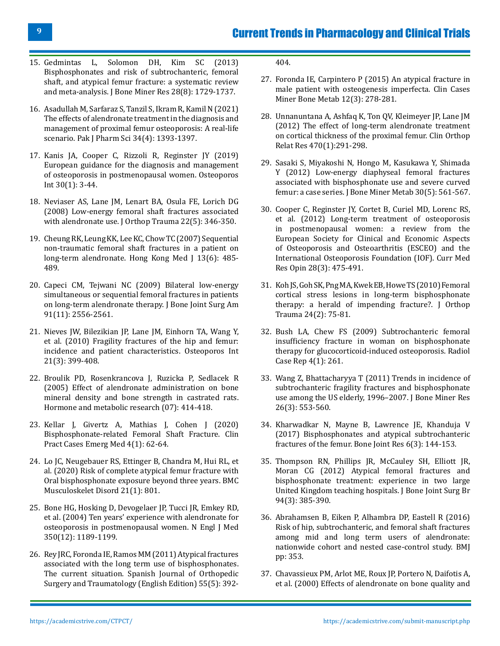- 15. [Gedmintas L, Solomon DH, Kim SC \(2013\)](https://pubmed.ncbi.nlm.nih.gov/23408697/) [Bisphosphonates and risk of subtrochanteric, femoral](https://pubmed.ncbi.nlm.nih.gov/23408697/) [shaft, and atypical femur fracture: a systematic review](https://pubmed.ncbi.nlm.nih.gov/23408697/) [and meta-analysis. J Bone Miner Res 28\(8\): 1729-1737.](https://pubmed.ncbi.nlm.nih.gov/23408697/)
- 16. [Asadullah M, Sarfaraz S, Tanzil S, Ikram R, Kamil N \(2021\)](https://pubmed.ncbi.nlm.nih.gov/34799312/) [The effects of alendronate treatment in the diagnosis and](https://pubmed.ncbi.nlm.nih.gov/34799312/) [management of proximal femur osteoporosis: A real-life](https://pubmed.ncbi.nlm.nih.gov/34799312/) [scenario. Pak J Pharm Sci 34\(4\): 1393-1397.](https://pubmed.ncbi.nlm.nih.gov/34799312/)
- 17. [Kanis JA, Cooper C, Rizzoli R, Reginster JY \(2019\)](https://pubmed.ncbi.nlm.nih.gov/30324412/) [European guidance for the diagnosis and management](https://pubmed.ncbi.nlm.nih.gov/30324412/) [of osteoporosis in postmenopausal women. Osteoporos](https://pubmed.ncbi.nlm.nih.gov/30324412/) [Int 30\(1\): 3-44.](https://pubmed.ncbi.nlm.nih.gov/30324412/)
- 18. [Neviaser AS, Lane JM, Lenart BA, Osula FE, Lorich DG](https://pubmed.ncbi.nlm.nih.gov/18448990/) [\(2008\) Low-energy femoral shaft fractures associated](https://pubmed.ncbi.nlm.nih.gov/18448990/) [with alendronate use. J Orthop Trauma 22\(5\): 346-350.](https://pubmed.ncbi.nlm.nih.gov/18448990/)
- 19. [Cheung RK, Leung KK, Lee KC, Chow TC \(2007\) Sequential](https://pubmed.ncbi.nlm.nih.gov/18057440/) [non-traumatic femoral shaft fractures in a patient on](https://pubmed.ncbi.nlm.nih.gov/18057440/) [long-term alendronate. Hong Kong Med J 13\(6\): 485-](https://pubmed.ncbi.nlm.nih.gov/18057440/) [489.](https://pubmed.ncbi.nlm.nih.gov/18057440/)
- 20. [Capeci CM, Tejwani NC \(2009\) Bilateral low-energy](https://pubmed.ncbi.nlm.nih.gov/19884427/) [simultaneous or sequential femoral fractures in patients](https://pubmed.ncbi.nlm.nih.gov/19884427/) [on long-term alendronate therapy. J Bone Joint Surg Am](https://pubmed.ncbi.nlm.nih.gov/19884427/) [91\(11\): 2556-2561.](https://pubmed.ncbi.nlm.nih.gov/19884427/)
- 21. [Nieves JW, Bilezikian JP, Lane JM, Einhorn TA, Wang Y,](https://pubmed.ncbi.nlm.nih.gov/19484169/) [et al. \(2010\) Fragility fractures of the hip and femur:](https://pubmed.ncbi.nlm.nih.gov/19484169/) [incidence and patient characteristics. Osteoporos Int](https://pubmed.ncbi.nlm.nih.gov/19484169/) [21\(3\): 399-408.](https://pubmed.ncbi.nlm.nih.gov/19484169/)
- 22. [Broulik PD, Rosenkrancova J, Ruzicka P, Sedlacek R](https://pubmed.ncbi.nlm.nih.gov/16034712/) [\(2005\) Effect of alendronate administration on bone](https://pubmed.ncbi.nlm.nih.gov/16034712/) [mineral density and bone strength in castrated rats.](https://pubmed.ncbi.nlm.nih.gov/16034712/) [Hormone and metabolic research \(07\): 414-418.](https://pubmed.ncbi.nlm.nih.gov/16034712/)
- 23. [Kellar J, Givertz A, Mathias J, Cohen J \(2020\)](https://pubmed.ncbi.nlm.nih.gov/32064428/) [Bisphosphonate-related Femoral Shaft Fracture. Clin](https://pubmed.ncbi.nlm.nih.gov/32064428/) [Pract Cases Emerg Med 4\(1\): 62-64.](https://pubmed.ncbi.nlm.nih.gov/32064428/)
- 24. [Lo JC, Neugebauer RS, Ettinger B, Chandra M, Hui RL, et](https://pubmed.ncbi.nlm.nih.gov/33272248/) [al. \(2020\) Risk of complete atypical femur fracture with](https://pubmed.ncbi.nlm.nih.gov/33272248/) [Oral bisphosphonate exposure beyond three years. BMC](https://pubmed.ncbi.nlm.nih.gov/33272248/) [Musculoskelet Disord 21\(1\): 801.](https://pubmed.ncbi.nlm.nih.gov/33272248/)
- 25. [Bone HG, Hosking D, Devogelaer JP, Tucci JR, Emkey RD,](https://pubmed.ncbi.nlm.nih.gov/15028823/) [et al. \(2004\) Ten years' experience with alendronate for](https://pubmed.ncbi.nlm.nih.gov/15028823/) [osteoporosis in postmenopausal women. N Engl J Med](https://pubmed.ncbi.nlm.nih.gov/15028823/) [350\(12\): 1189-1199.](https://pubmed.ncbi.nlm.nih.gov/15028823/)
- 26. [Rey JRC, Foronda IE, Ramos MM \(2011\) Atypical fractures](https://www.elsevier.es/en-revista-revista-espanola-cirugia-ortopedica-traumatologia-429-articulo-atypical-fractures-associated-with-long-S1988885611000083) [associated with the long term use of bisphosphonates.](https://www.elsevier.es/en-revista-revista-espanola-cirugia-ortopedica-traumatologia-429-articulo-atypical-fractures-associated-with-long-S1988885611000083) [The current situation. Spanish Journal of Orthopedic](https://www.elsevier.es/en-revista-revista-espanola-cirugia-ortopedica-traumatologia-429-articulo-atypical-fractures-associated-with-long-S1988885611000083) [Surgery and Traumatology \(English Edition\) 55\(5\): 392-](https://www.elsevier.es/en-revista-revista-espanola-cirugia-ortopedica-traumatologia-429-articulo-atypical-fractures-associated-with-long-S1988885611000083)

[404.](https://www.elsevier.es/en-revista-revista-espanola-cirugia-ortopedica-traumatologia-429-articulo-atypical-fractures-associated-with-long-S1988885611000083)

- 27. [Foronda IE, Carpintero P \(2015\) An atypical fracture in](https://pubmed.ncbi.nlm.nih.gov/26811713/) [male patient with osteogenesis imperfecta. Clin Cases](https://pubmed.ncbi.nlm.nih.gov/26811713/)  [Miner Bone Metab 12\(3\): 278-281.](https://pubmed.ncbi.nlm.nih.gov/26811713/)
- 28. [Unnanuntana A, Ashfaq K, Ton QV, Kleimeyer JP, Lane JM](https://pubmed.ncbi.nlm.nih.gov/21773861/)  [\(2012\) The effect of long-term alendronate treatment](https://pubmed.ncbi.nlm.nih.gov/21773861/)  [on cortical thickness of the proximal femur. Clin Orthop](https://pubmed.ncbi.nlm.nih.gov/21773861/) [Relat Res 470\(1\):291-298.](https://pubmed.ncbi.nlm.nih.gov/21773861/)
- 29. [Sasaki S, Miyakoshi N, Hongo M, Kasukawa Y, Shimada](https://pubmed.ncbi.nlm.nih.gov/22610061/)  [Y \(2012\) Low-energy diaphyseal femoral fractures](https://pubmed.ncbi.nlm.nih.gov/22610061/)  [associated with bisphosphonate use and severe curved](https://pubmed.ncbi.nlm.nih.gov/22610061/) [femur: a case series. J Bone Miner Metab 30\(5\): 561-567.](https://pubmed.ncbi.nlm.nih.gov/22610061/)
- 30. [Cooper C, Reginster JY, Cortet B, Curiel MD, Lorenc RS,](https://pubmed.ncbi.nlm.nih.gov/22356102/)  [et al. \(2012\) Long-term treatment of osteoporosis](https://pubmed.ncbi.nlm.nih.gov/22356102/) [in postmenopausal women: a review from the](https://pubmed.ncbi.nlm.nih.gov/22356102/)  [European Society for Clinical and Economic Aspects](https://pubmed.ncbi.nlm.nih.gov/22356102/) [of Osteoporosis and Osteoarthritis \(ESCEO\) and the](https://pubmed.ncbi.nlm.nih.gov/22356102/)  [International Osteoporosis Foundation \(IOF\). Curr Med](https://pubmed.ncbi.nlm.nih.gov/22356102/) [Res Opin 28\(3\): 475-491.](https://pubmed.ncbi.nlm.nih.gov/22356102/)
- 31. [Koh JS, Goh SK, Png MA, Kwek EB, Howe TS \(2010\) Femoral](https://pubmed.ncbi.nlm.nih.gov/20101130/)  [cortical stress lesions in long-term bisphosphonate](https://pubmed.ncbi.nlm.nih.gov/20101130/) [therapy: a herald of impending fracture?. J Orthop](https://pubmed.ncbi.nlm.nih.gov/20101130/)  [Trauma 24\(2\): 75-81.](https://pubmed.ncbi.nlm.nih.gov/20101130/)
- 32. [Bush LA, Chew FS \(2009\) Subtrochanteric femoral](https://pubmed.ncbi.nlm.nih.gov/27843524/) [insufficiency fracture in woman on bisphosphonate](https://pubmed.ncbi.nlm.nih.gov/27843524/) [therapy for glucocorticoid-induced osteoporosis. Radiol](https://pubmed.ncbi.nlm.nih.gov/27843524/)  [Case Rep 4\(1\): 261.](https://pubmed.ncbi.nlm.nih.gov/27843524/)
- 33. [Wang Z, Bhattacharyya T \(2011\) Trends in incidence of](https://pubmed.ncbi.nlm.nih.gov/20814954/) [subtrochanteric fragility fractures and bisphosphonate](https://pubmed.ncbi.nlm.nih.gov/20814954/) [use among the US elderly, 1996–2007. J Bone Miner Res](https://pubmed.ncbi.nlm.nih.gov/20814954/)  [26\(3\): 553-560.](https://pubmed.ncbi.nlm.nih.gov/20814954/)
- 34. [Kharwadkar N, Mayne B, Lawrence JE, Khanduja V](https://pubmed.ncbi.nlm.nih.gov/28288986/) [\(2017\) Bisphosphonates and atypical subtrochanteric](https://pubmed.ncbi.nlm.nih.gov/28288986/) [fractures of the femur. Bone Joint Res 6\(3\): 144-153.](https://pubmed.ncbi.nlm.nih.gov/28288986/)
- 35. [Thompson RN, Phillips JR, McCauley SH, Elliott JR,](https://pubmed.ncbi.nlm.nih.gov/22371548/)  [Moran CG \(2012\) Atypical femoral fractures and](https://pubmed.ncbi.nlm.nih.gov/22371548/)  [bisphosphonate treatment: experience in two large](https://pubmed.ncbi.nlm.nih.gov/22371548/)  [United Kingdom teaching hospitals. J Bone Joint Surg Br](https://pubmed.ncbi.nlm.nih.gov/22371548/) [94\(3\): 385-390.](https://pubmed.ncbi.nlm.nih.gov/22371548/)
- 36. [Abrahamsen B, Eiken P, Alhambra DP, Eastell R \(2016\)](https://www.bmj.com/content/353/bmj.i3365) [Risk of hip, subtrochanteric, and femoral shaft fractures](https://www.bmj.com/content/353/bmj.i3365) [among mid and long term users of alendronate:](https://www.bmj.com/content/353/bmj.i3365) [nationwide cohort and nested case-control study. BMJ](https://www.bmj.com/content/353/bmj.i3365)  [pp: 353.](https://www.bmj.com/content/353/bmj.i3365)
- 37. [Chavassieux PM, Arlot ME, Roux JP, Portero N, Daifotis A,](https://pubmed.ncbi.nlm.nih.gov/10780867/)  [et al. \(2000\) Effects of alendronate on bone quality and](https://pubmed.ncbi.nlm.nih.gov/10780867/)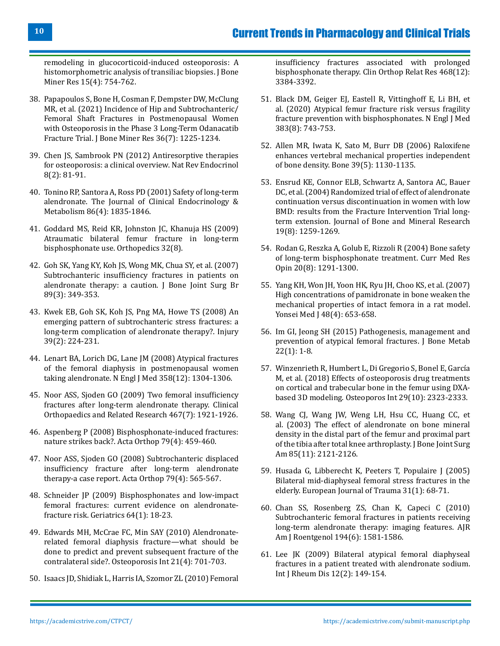[remodeling in glucocorticoid-induced osteoporosis: A](https://pubmed.ncbi.nlm.nih.gov/10780867/) [histomorphometric analysis of transiliac biopsies. J Bone](https://pubmed.ncbi.nlm.nih.gov/10780867/) [Miner Res 15\(4\): 754-762.](https://pubmed.ncbi.nlm.nih.gov/10780867/)

- 38. [Papapoulos S, Bone H, Cosman F, Dempster DW, McClung](https://pubmed.ncbi.nlm.nih.gov/33724542/) [MR, et al. \(2021\) Incidence of Hip and Subtrochanteric/](https://pubmed.ncbi.nlm.nih.gov/33724542/) [Femoral Shaft Fractures in Postmenopausal Women](https://pubmed.ncbi.nlm.nih.gov/33724542/) [with Osteoporosis in the Phase 3 Long-Term Odanacatib](https://pubmed.ncbi.nlm.nih.gov/33724542/) [Fracture Trial. J Bone Miner Res 36\(7\): 1225-1234.](https://pubmed.ncbi.nlm.nih.gov/33724542/)
- 39. [Chen JS, Sambrook PN \(2012\) Antiresorptive therapies](https://pubmed.ncbi.nlm.nih.gov/21894214/) [for osteoporosis: a clinical overview. Nat Rev Endocrinol](https://pubmed.ncbi.nlm.nih.gov/21894214/) [8\(2\): 81-91.](https://pubmed.ncbi.nlm.nih.gov/21894214/)
- 40. [Tonino RP, Santora A, Ross PD \(2001\) Safety of long-term](https://academic.oup.com/jcem/article/86/4/1835/2848916) [alendronate. The Journal of Clinical Endocrinology &](https://academic.oup.com/jcem/article/86/4/1835/2848916) [Metabolism 86\(4\): 1835-1846.](https://academic.oup.com/jcem/article/86/4/1835/2848916)
- 41. [Goddard MS, Reid KR, Johnston JC, Khanuja HS \(2009\)](https://pubmed.ncbi.nlm.nih.gov/19708622/) [Atraumatic bilateral femur fracture in long-term](https://pubmed.ncbi.nlm.nih.gov/19708622/) [bisphosphonate use. Orthopedics 32\(8\).](https://pubmed.ncbi.nlm.nih.gov/19708622/)
- 42. [Goh SK, Yang KY, Koh JS, Wong MK, Chua SY, et al. \(2007\)](https://pubmed.ncbi.nlm.nih.gov/17356148/) [Subtrochanteric insufficiency fractures in patients on](https://pubmed.ncbi.nlm.nih.gov/17356148/) [alendronate therapy: a caution. J Bone Joint Surg Br](https://pubmed.ncbi.nlm.nih.gov/17356148/) [89\(3\): 349-353.](https://pubmed.ncbi.nlm.nih.gov/17356148/)
- 43. [Kwek EB, Goh SK, Koh JS, Png MA, Howe TS \(2008\) An](https://pubmed.ncbi.nlm.nih.gov/18222447/) [emerging pattern of subtrochanteric stress fractures: a](https://pubmed.ncbi.nlm.nih.gov/18222447/) [long-term complication of alendronate therapy?. Injury](https://pubmed.ncbi.nlm.nih.gov/18222447/) [39\(2\): 224-231.](https://pubmed.ncbi.nlm.nih.gov/18222447/)
- 44. [Lenart BA, Lorich DG, Lane JM \(2008\) Atypical fractures](https://www.nejm.org/doi/full/10.1056/nejmc0707493) [of the femoral diaphysis in postmenopausal women](https://www.nejm.org/doi/full/10.1056/nejmc0707493) [taking alendronate. N Engl J Med 358\(12\): 1304-1306.](https://www.nejm.org/doi/full/10.1056/nejmc0707493)
- 45. [Noor ASS, Sjoden GO \(2009\) Two femoral insufficiency](https://journals.lww.com/clinorthop/Fulltext/2009/07000/Case_Reports__Two_Femoral_Insufficiency_Fractures.37.aspx) [fractures after long-term alendronate therapy. Clinical](https://journals.lww.com/clinorthop/Fulltext/2009/07000/Case_Reports__Two_Femoral_Insufficiency_Fractures.37.aspx) [Orthopaedics and Related Research 467\(7\): 1921-1926.](https://journals.lww.com/clinorthop/Fulltext/2009/07000/Case_Reports__Two_Femoral_Insufficiency_Fractures.37.aspx)
- 46. [Aspenberg P \(2008\) Bisphosphonate-induced fractures:](https://pubmed.ncbi.nlm.nih.gov/18766476/) [nature strikes back?. Acta Orthop 79\(4\): 459-460.](https://pubmed.ncbi.nlm.nih.gov/18766476/)
- 47. [Noor ASS, Sjoden GO \(2008\) Subtrochanteric displaced](https://pubmed.ncbi.nlm.nih.gov/18766492/) [insufficiency fracture after long‐term alendronate](https://pubmed.ncbi.nlm.nih.gov/18766492/) [therapy-a case report. Acta Orthop 79\(4\): 565-567.](https://pubmed.ncbi.nlm.nih.gov/18766492/)
- 48. [Schneider JP \(2009\) Bisphosphonates and low-impact](https://pubmed.ncbi.nlm.nih.gov/19256578/) [femoral fractures: current evidence on alendronate](https://pubmed.ncbi.nlm.nih.gov/19256578/)[fracture risk. Geriatrics 64\(1\): 18-23.](https://pubmed.ncbi.nlm.nih.gov/19256578/)
- 49. [Edwards MH, McCrae FC, Min SAY \(2010\) Alendronate](https://pubmed.ncbi.nlm.nih.gov/19562241/)[related femoral diaphysis fracture—what should be](https://pubmed.ncbi.nlm.nih.gov/19562241/) [done to predict and prevent subsequent fracture of the](https://pubmed.ncbi.nlm.nih.gov/19562241/) [contralateral side?. Osteoporosis Int 21\(4\): 701-703.](https://pubmed.ncbi.nlm.nih.gov/19562241/)
- 50. [Isaacs JD, Shidiak L, Harris IA, Szomor ZL \(2010\) Femoral](https://pubmed.ncbi.nlm.nih.gov/20809164/)

[insufficiency fractures associated with prolonged](https://pubmed.ncbi.nlm.nih.gov/20809164/) [bisphosphonate therapy. Clin Orthop Relat Res 468\(12\):](https://pubmed.ncbi.nlm.nih.gov/20809164/) [3384-3392.](https://pubmed.ncbi.nlm.nih.gov/20809164/)

- 51. [Black DM, Geiger EJ, Eastell R, Vittinghoff E, Li BH, et](https://pubmed.ncbi.nlm.nih.gov/32813950/)  [al. \(2020\) Atypical femur fracture risk versus fragility](https://pubmed.ncbi.nlm.nih.gov/32813950/)  [fracture prevention with bisphosphonates. N Engl J Med](https://pubmed.ncbi.nlm.nih.gov/32813950/)  [383\(8\): 743-753.](https://pubmed.ncbi.nlm.nih.gov/32813950/)
- 52. [Allen MR, Iwata K, Sato M, Burr DB \(2006\) Raloxifene](https://pubmed.ncbi.nlm.nih.gov/16814622/)  [enhances vertebral mechanical properties independent](https://pubmed.ncbi.nlm.nih.gov/16814622/) [of bone density. Bone 39\(5\): 1130-1135.](https://pubmed.ncbi.nlm.nih.gov/16814622/)
- 53. [Ensrud KE, Connor ELB, Schwartz A, Santora AC, Bauer](https://asbmr.onlinelibrary.wiley.com/doi/full/10.1359/JBMR.040326)  [DC, et al. \(2004\) Randomized trial of effect of alendronate](https://asbmr.onlinelibrary.wiley.com/doi/full/10.1359/JBMR.040326)  [continuation versus discontinuation in women with low](https://asbmr.onlinelibrary.wiley.com/doi/full/10.1359/JBMR.040326)  [BMD: results from the Fracture Intervention Trial long](https://asbmr.onlinelibrary.wiley.com/doi/full/10.1359/JBMR.040326)[term extension. Journal of Bone and Mineral Research](https://asbmr.onlinelibrary.wiley.com/doi/full/10.1359/JBMR.040326)  [19\(8\): 1259-1269.](https://asbmr.onlinelibrary.wiley.com/doi/full/10.1359/JBMR.040326)
- 54. [Rodan G, Reszka A, Golub E, Rizzoli R \(2004\) Bone safety](https://pubmed.ncbi.nlm.nih.gov/15324532/)  [of long-term bisphosphonate treatment. Curr Med Res](https://pubmed.ncbi.nlm.nih.gov/15324532/) [Opin 20\(8\): 1291-1300.](https://pubmed.ncbi.nlm.nih.gov/15324532/)
- 55. [Yang KH, Won JH, Yoon HK, Ryu JH, Choo KS, et al. \(2007\)](https://pubmed.ncbi.nlm.nih.gov/17722238/) [High concentrations of pamidronate in bone weaken the](https://pubmed.ncbi.nlm.nih.gov/17722238/)  [mechanical properties of intact femora in a rat model.](https://pubmed.ncbi.nlm.nih.gov/17722238/)  [Yonsei Med J 48\(4\): 653-658.](https://pubmed.ncbi.nlm.nih.gov/17722238/)
- 56. [Im GI, Jeong SH \(2015\) Pathogenesis, management and](https://pubmed.ncbi.nlm.nih.gov/25774358/) [prevention of atypical femoral fractures. J Bone Metab](https://pubmed.ncbi.nlm.nih.gov/25774358/)  [22\(1\): 1-8.](https://pubmed.ncbi.nlm.nih.gov/25774358/)
- 57. [Winzenrieth R, Humbert L, Di Gregorio S, Bonel E, García](https://pubmed.ncbi.nlm.nih.gov/29974136/)  [M, et al. \(2018\) Effects of osteoporosis drug treatments](https://pubmed.ncbi.nlm.nih.gov/29974136/)  [on cortical and trabecular bone in the femur using DXA](https://pubmed.ncbi.nlm.nih.gov/29974136/)[based 3D modeling. Osteoporos Int 29\(10\): 2323-2333.](https://pubmed.ncbi.nlm.nih.gov/29974136/)
- 58. [Wang CJ, Wang JW, Weng LH, Hsu CC, Huang CC, et](https://pubmed.ncbi.nlm.nih.gov/14630840/)  [al. \(2003\) The effect of alendronate on bone mineral](https://pubmed.ncbi.nlm.nih.gov/14630840/) [density in the distal part of the femur and proximal part](https://pubmed.ncbi.nlm.nih.gov/14630840/) [of the tibia after total knee arthroplasty. J Bone Joint Surg](https://pubmed.ncbi.nlm.nih.gov/14630840/)  [Am 85\(11\): 2121-2126.](https://pubmed.ncbi.nlm.nih.gov/14630840/)
- 59. [Husada G, Libberecht K, Peeters T, Populaire J \(2005\)](https://link.springer.com/article/10.1007/s00068-005-1421-5) [Bilateral mid-diaphyseal femoral stress fractures in the](https://link.springer.com/article/10.1007/s00068-005-1421-5) [elderly. European Journal of Trauma 31\(1\): 68-71.](https://link.springer.com/article/10.1007/s00068-005-1421-5)
- 60. [Chan SS, Rosenberg ZS, Chan K, Capeci C \(2010\)](https://pubmed.ncbi.nlm.nih.gov/20489100/) [Subtrochanteric femoral fractures in patients receiving](https://pubmed.ncbi.nlm.nih.gov/20489100/)  [long-term alendronate therapy: imaging features. AJR](https://pubmed.ncbi.nlm.nih.gov/20489100/) [Am J Roentgenol 194\(6\): 1581-1586.](https://pubmed.ncbi.nlm.nih.gov/20489100/)
- 61. [Lee JK \(2009\) Bilateral atypical femoral diaphyseal](https://pubmed.ncbi.nlm.nih.gov/20374333/)  [fractures in a patient treated with alendronate sodium.](https://pubmed.ncbi.nlm.nih.gov/20374333/)  [Int J Rheum Dis 12\(2\): 149-154.](https://pubmed.ncbi.nlm.nih.gov/20374333/)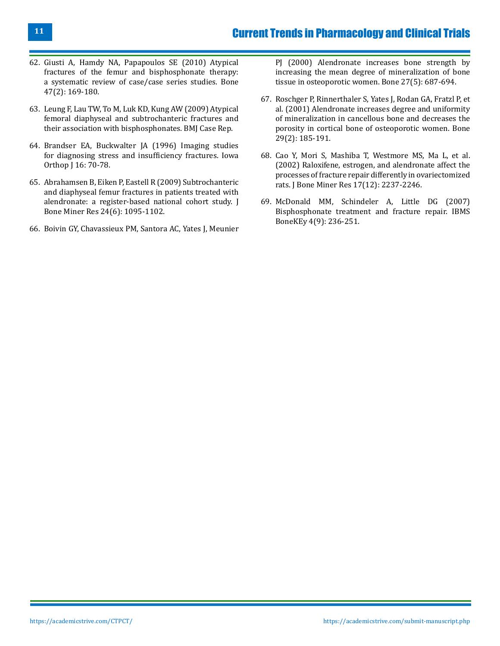- 62. [Giusti A, Hamdy NA, Papapoulos SE \(2010\) Atypical](https://pubmed.ncbi.nlm.nih.gov/20493982/) [fractures of the femur and bisphosphonate therapy:](https://pubmed.ncbi.nlm.nih.gov/20493982/) [a systematic review of case/case series studies. Bone](https://pubmed.ncbi.nlm.nih.gov/20493982/) [47\(2\): 169-180.](https://pubmed.ncbi.nlm.nih.gov/20493982/)
- 63. [Leung F, Lau TW, To M, Luk KD, Kung AW \(2009\) Atypical](https://pubmed.ncbi.nlm.nih.gov/21686468/) [femoral diaphyseal and subtrochanteric fractures and](https://pubmed.ncbi.nlm.nih.gov/21686468/) [their association with bisphosphonates. BMJ Case Rep.](https://pubmed.ncbi.nlm.nih.gov/21686468/)
- 64. [Brandser EA, Buckwalter JA \(1996\) Imaging studies](https://pubmed.ncbi.nlm.nih.gov/9129276/) [for diagnosing stress and insufficiency fractures. Iowa](https://pubmed.ncbi.nlm.nih.gov/9129276/) [Orthop J 16: 70-78.](https://pubmed.ncbi.nlm.nih.gov/9129276/)
- 65. [Abrahamsen B, Eiken P, Eastell R \(2009\) Subtrochanteric](https://pubmed.ncbi.nlm.nih.gov/19113931/) [and diaphyseal femur fractures in patients treated with](https://pubmed.ncbi.nlm.nih.gov/19113931/) [alendronate: a register-based national cohort study. J](https://pubmed.ncbi.nlm.nih.gov/19113931/) [Bone Miner Res 24\(6\): 1095-1102.](https://pubmed.ncbi.nlm.nih.gov/19113931/)
- 66. [Boivin GY, Chavassieux PM, Santora AC, Yates J, Meunier](https://pubmed.ncbi.nlm.nih.gov/11062357/)

[PJ \(2000\) Alendronate increases bone strength by](https://pubmed.ncbi.nlm.nih.gov/11062357/)  [increasing the mean degree of mineralization of bone](https://pubmed.ncbi.nlm.nih.gov/11062357/)  [tissue in osteoporotic women. Bone 27\(5\): 687-694.](https://pubmed.ncbi.nlm.nih.gov/11062357/)

- 67. [Roschger P, Rinnerthaler S, Yates J, Rodan GA, Fratzl P, et](https://pubmed.ncbi.nlm.nih.gov/11502482/)  [al. \(2001\) Alendronate increases degree and uniformity](https://pubmed.ncbi.nlm.nih.gov/11502482/) [of mineralization in cancellous bone and decreases the](https://pubmed.ncbi.nlm.nih.gov/11502482/) [porosity in cortical bone of osteoporotic women. Bone](https://pubmed.ncbi.nlm.nih.gov/11502482/)  [29\(2\): 185-191.](https://pubmed.ncbi.nlm.nih.gov/11502482/)
- 68. [Cao Y, Mori S, Mashiba T, Westmore MS, Ma L, et al.](https://pubmed.ncbi.nlm.nih.gov/12469918/)  [\(2002\) Raloxifene, estrogen, and alendronate affect the](https://pubmed.ncbi.nlm.nih.gov/12469918/)  [processes of fracture repair differently in ovariectomized](https://pubmed.ncbi.nlm.nih.gov/12469918/) [rats. J Bone Miner Res 17\(12\): 2237-2246.](https://pubmed.ncbi.nlm.nih.gov/12469918/)
- 69. [McDonald MM, Schindeler A, Little DG \(2007\)](https://www.proquest.com/openview/0a598d2c28dc576ed9422009f9fcc141/1?pq-origsite=gscholar&cbl=2041965) [Bisphosphonate treatment and fracture repair. IBMS](https://www.proquest.com/openview/0a598d2c28dc576ed9422009f9fcc141/1?pq-origsite=gscholar&cbl=2041965)  [BoneKEy 4\(9\): 236-251.](https://www.proquest.com/openview/0a598d2c28dc576ed9422009f9fcc141/1?pq-origsite=gscholar&cbl=2041965)